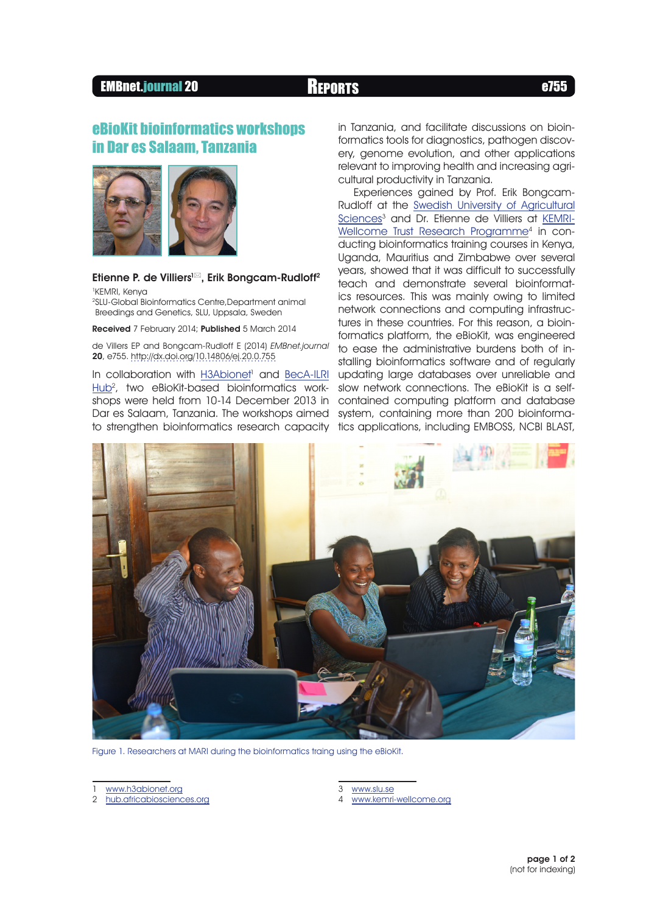# EMBnet.journal 20 Reports e755



### Etienne P. de Villiers<sup>1⊠</sup>, Erik Bongcam-Rudloff<sup>2</sup>

1 KEMRI, Kenya 2 SLU-Global Bioinformatics Centre,Department animal Breedings and Genetics, SLU, Uppsala, Sweden

Received 7 February 2014; Published 5 March 2014

de Villers EP and Bongcam-Rudloff E (2014) EMBnet.journal 20, e755. [http://dx.doi.org/10.14806/ej.20.0.755](http://dx.doi.org/10.14806/ej.20.0.755
)

In collaboration with **H3Abionet<sup>1</sup>** and **[BecA-ILRI](http://hub.africabiosciences.org)** [Hub](http://hub.africabiosciences.org)<sup>2</sup>, two eBioKit-based bioinformatics workshops were held from 10-14 December 2013 in Dar es Salaam, Tanzania. The workshops aimed to strengthen bioinformatics research capacity

in Tanzania, and facilitate discussions on bioinformatics tools for diagnostics, pathogen discovery, genome evolution, and other applications relevant to improving health and increasing agricultural productivity in Tanzania.

Experiences gained by Prof. Erik Bongcam-Rudloff at the [Swedish University of Agricultural](http://www.slu.se) [Sciences](http://www.slu.se)<sup>3</sup> and Dr. Etienne de Villiers at [KEMRI-](http://www.kemri-wellcome.org)[Wellcome Trust Research Programm](http://www.kemri-wellcome.org)e<sup>4</sup> in conducting bioinformatics training courses in Kenya, Uganda, Mauritius and Zimbabwe over several years, showed that it was difficult to successfully teach and demonstrate several bioinformatics resources. This was mainly owing to limited network connections and computing infrastructures in these countries. For this reason, a bioinformatics platform, the eBioKit, was engineered to ease the administrative burdens both of installing bioinformatics software and of regularly updating large databases over unreliable and slow network connections. The eBioKit is a selfcontained computing platform and database system, containing more than 200 bioinformatics applications, including EMBOSS, NCBI BLAST,



Figure 1. Researchers at MARI during the bioinformatics traing using the eBioKit.

3 <www.slu.se>

4 <www.kemri-wellcome.org>

<www.h3abionet.org>

<sup>2</sup> [hub.africabiosciences.org](http://hub.africabiosciences.org)